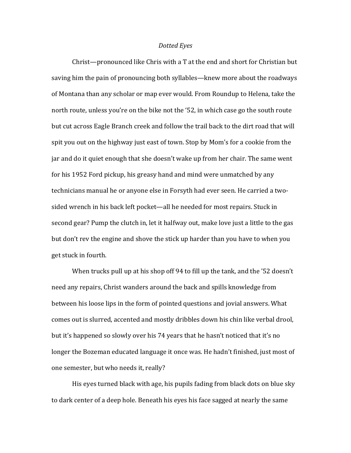## *Dotted Eyes*

Christ—pronounced like Chris with a T at the end and short for Christian but saving him the pain of pronouncing both syllables—knew more about the roadways of Montana than any scholar or map ever would. From Roundup to Helena, take the north route, unless you're on the bike not the '52, in which case go the south route but cut across Eagle Branch creek and follow the trail back to the dirt road that will spit you out on the highway just east of town. Stop by Mom's for a cookie from the jar and do it quiet enough that she doesn't wake up from her chair. The same went for his 1952 Ford pickup, his greasy hand and mind were unmatched by any technicians manual he or anyone else in Forsyth had ever seen. He carried a twosided wrench in his back left pocket—all he needed for most repairs. Stuck in second gear? Pump the clutch in, let it halfway out, make love just a little to the gas but don't rev the engine and shove the stick up harder than you have to when you get stuck in fourth.

When trucks pull up at his shop off 94 to fill up the tank, and the '52 doesn't need any repairs, Christ wanders around the back and spills knowledge from between his loose lips in the form of pointed questions and jovial answers. What comes out is slurred, accented and mostly dribbles down his chin like verbal drool, but it's happened so slowly over his 74 years that he hasn't noticed that it's no longer the Bozeman educated language it once was. He hadn't finished, just most of one semester, but who needs it, really?

His eyes turned black with age, his pupils fading from black dots on blue sky to dark center of a deep hole. Beneath his eyes his face sagged at nearly the same